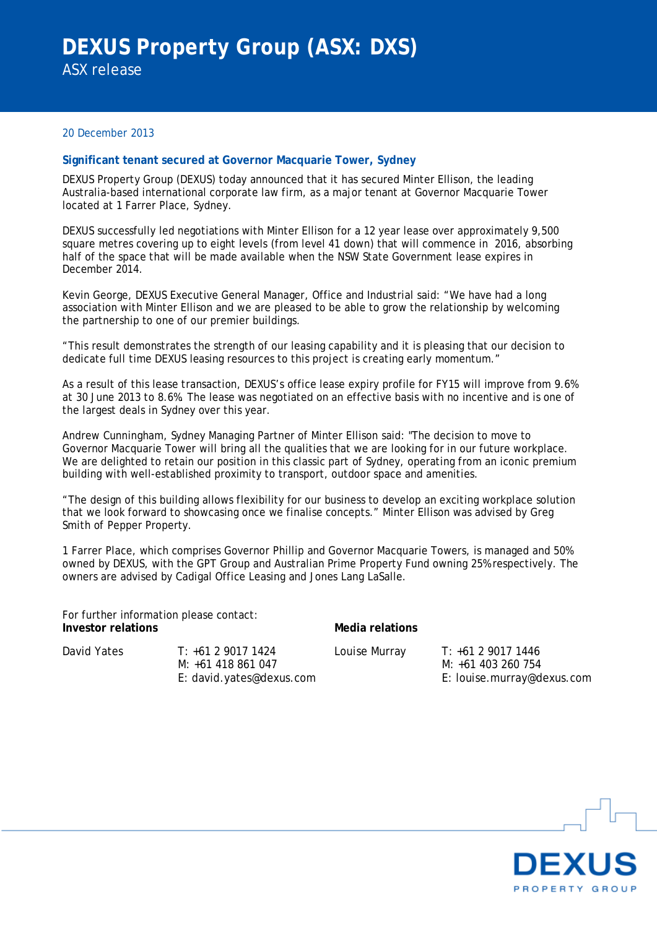## 20 December 2013

## **Significant tenant secured at Governor Macquarie Tower, Sydney**

DEXUS Property Group (DEXUS) today announced that it has secured Minter Ellison, the leading Australia-based international corporate law firm, as a major tenant at Governor Macquarie Tower located at 1 Farrer Place, Sydney.

DEXUS successfully led negotiations with Minter Ellison for a 12 year lease over approximately 9,500 square metres covering up to eight levels (from level 41 down) that will commence in 2016, absorbing half of the space that will be made available when the NSW State Government lease expires in December 2014.

Kevin George, DEXUS Executive General Manager, Office and Industrial said: "We have had a long association with Minter Ellison and we are pleased to be able to grow the relationship by welcoming the partnership to one of our premier buildings.

"This result demonstrates the strength of our leasing capability and it is pleasing that our decision to dedicate full time DEXUS leasing resources to this project is creating early momentum."

As a result of this lease transaction, DEXUS's office lease expiry profile for FY15 will improve from 9.6% at 30 June 2013 to 8.6%. The lease was negotiated on an effective basis with no incentive and is one of the largest deals in Sydney over this year.

Andrew Cunningham, Sydney Managing Partner of Minter Ellison said: "The decision to move to Governor Macquarie Tower will bring all the qualities that we are looking for in our future workplace. We are delighted to retain our position in this classic part of Sydney, operating from an iconic premium building with well-established proximity to transport, outdoor space and amenities.

"The design of this building allows flexibility for our business to develop an exciting workplace solution that we look forward to showcasing once we finalise concepts." Minter Ellison was advised by Greg Smith of Pepper Property.

1 Farrer Place, which comprises Governor Phillip and Governor Macquarie Towers, is managed and 50% owned by DEXUS, with the GPT Group and Australian Prime Property Fund owning 25% respectively. The owners are advised by Cadigal Office Leasing and Jones Lang LaSalle.

| For further information please contact:<br>Investor relations |                                         | Media relations |                                          |
|---------------------------------------------------------------|-----------------------------------------|-----------------|------------------------------------------|
| David Yates                                                   | $T: +61290171424$<br>M: +61 418 861 047 | Louise Murray   | T: +61 2 9017 1446<br>M: +61 403 260 754 |
|                                                               | E: david.yates@dexus.com                |                 | E: louise.murray@dexus.com               |